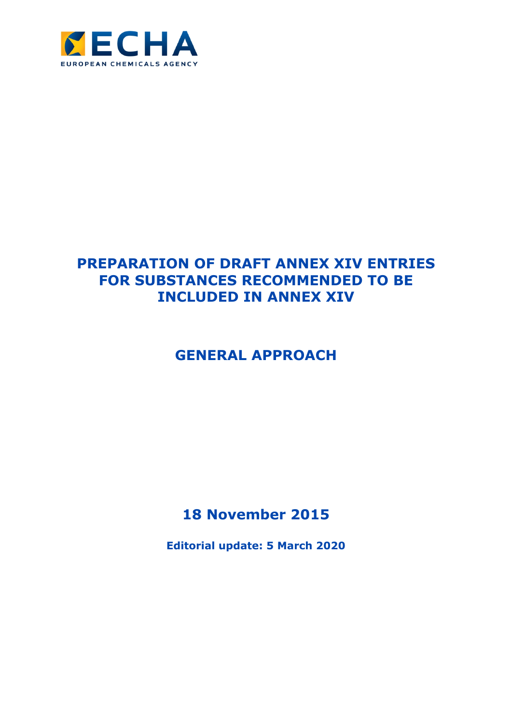

# **PREPARATION OF DRAFT ANNEX XIV ENTRIES FOR SUBSTANCES RECOMMENDED TO BE INCLUDED IN ANNEX XIV**

# **GENERAL APPROACH**

**18 November 2015**

**Editorial update: 5 March 2020**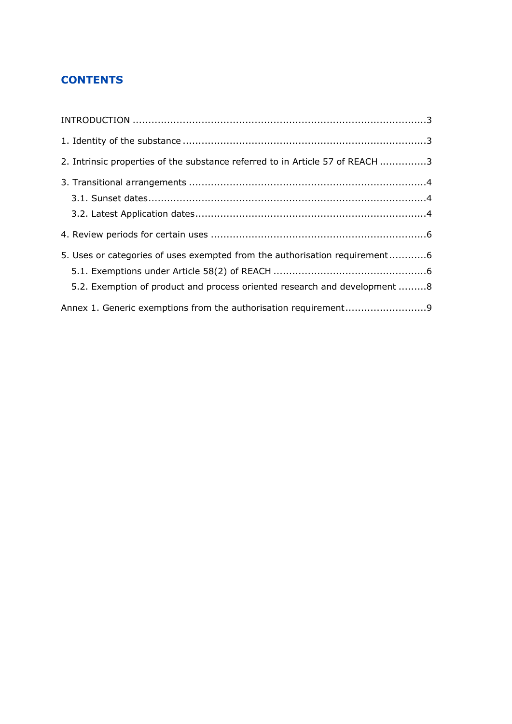### **CONTENTS**

| 2. Intrinsic properties of the substance referred to in Article 57 of REACH 3 |  |
|-------------------------------------------------------------------------------|--|
|                                                                               |  |
|                                                                               |  |
|                                                                               |  |
|                                                                               |  |
| 5. Uses or categories of uses exempted from the authorisation requirement6    |  |
|                                                                               |  |
| 5.2. Exemption of product and process oriented research and development 8     |  |
| Annex 1. Generic exemptions from the authorisation requirement9               |  |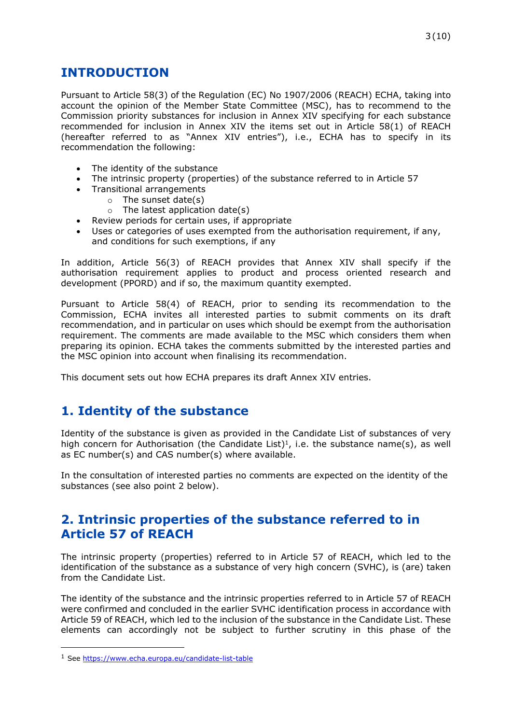# <span id="page-2-0"></span>**INTRODUCTION**

Pursuant to Article 58(3) of the Regulation (EC) No 1907/2006 (REACH) ECHA, taking into account the opinion of the Member State Committee (MSC), has to recommend to the Commission priority substances for inclusion in Annex XIV specifying for each substance recommended for inclusion in Annex XIV the items set out in Article 58(1) of REACH (hereafter referred to as "Annex XIV entries"), i.e., ECHA has to specify in its recommendation the following:

- The identity of the substance
- The intrinsic property (properties) of the substance referred to in Article 57
- Transitional arrangements
	- $\circ$  The sunset date(s)
	- $\circ$  The latest application date(s)
- Review periods for certain uses, if appropriate
- Uses or categories of uses exempted from the authorisation requirement, if any, and conditions for such exemptions, if any

In addition, Article 56(3) of REACH provides that Annex XIV shall specify if the authorisation requirement applies to product and process oriented research and development (PPORD) and if so, the maximum quantity exempted.

Pursuant to Article 58(4) of REACH, prior to sending its recommendation to the Commission, ECHA invites all interested parties to submit comments on its draft recommendation, and in particular on uses which should be exempt from the authorisation requirement. The comments are made available to the MSC which considers them when preparing its opinion. ECHA takes the comments submitted by the interested parties and the MSC opinion into account when finalising its recommendation.

This document sets out how ECHA prepares its draft Annex XIV entries.

# <span id="page-2-1"></span>**1. Identity of the substance**

Identity of the substance is given as provided in the Candidate List of substances of very high concern for Authorisation (the Candidate List)<sup>1</sup>, i.e. the substance name(s), as well as EC number(s) and CAS number(s) where available.

In the consultation of interested parties no comments are expected on the identity of the substances (see also point 2 below).

### <span id="page-2-2"></span>**2. Intrinsic properties of the substance referred to in Article 57 of REACH**

The intrinsic property (properties) referred to in Article 57 of REACH, which led to the identification of the substance as a substance of very high concern (SVHC), is (are) taken from the Candidate List.

The identity of the substance and the intrinsic properties referred to in Article 57 of REACH were confirmed and concluded in the earlier SVHC identification process in accordance with Article 59 of REACH, which led to the inclusion of the substance in the Candidate List. These elements can accordingly not be subject to further scrutiny in this phase of the

<sup>1</sup> See<https://www.echa.europa.eu/candidate-list-table>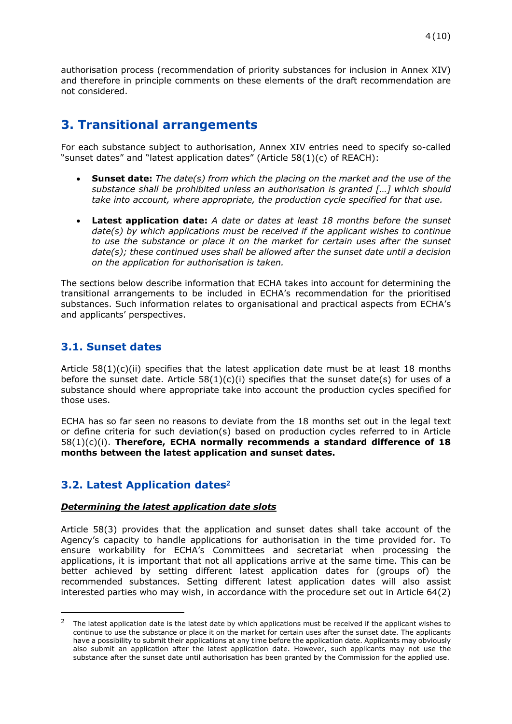authorisation process (recommendation of priority substances for inclusion in Annex XIV) and therefore in principle comments on these elements of the draft recommendation are not considered.

# <span id="page-3-0"></span>**3. Transitional arrangements**

For each substance subject to authorisation, Annex XIV entries need to specify so-called "sunset dates" and "latest application dates" (Article 58(1)(c) of REACH):

- **Sunset date:** *The date(s) from which the placing on the market and the use of the substance shall be prohibited unless an authorisation is granted […] which should take into account, where appropriate, the production cycle specified for that use.*
- **Latest application date:** *A date or dates at least 18 months before the sunset date(s) by which applications must be received if the applicant wishes to continue to use the substance or place it on the market for certain uses after the sunset date(s); these continued uses shall be allowed after the sunset date until a decision on the application for authorisation is taken.*

The sections below describe information that ECHA takes into account for determining the transitional arrangements to be included in ECHA's recommendation for the prioritised substances. Such information relates to organisational and practical aspects from ECHA's and applicants' perspectives.

### <span id="page-3-1"></span>**3.1. Sunset dates**

Article  $58(1)(c)(ii)$  specifies that the latest application date must be at least 18 months before the sunset date. Article  $58(1)(c)(i)$  specifies that the sunset date(s) for uses of a substance should where appropriate take into account the production cycles specified for those uses.

ECHA has so far seen no reasons to deviate from the 18 months set out in the legal text or define criteria for such deviation(s) based on production cycles referred to in Article 58(1)(c)(i). **Therefore, ECHA normally recommends a standard difference of 18 months between the latest application and sunset dates.** 

### <span id="page-3-2"></span>**3.2. Latest Application dates<sup>2</sup>**

#### *Determining the latest application date slots*

Article 58(3) provides that the application and sunset dates shall take account of the Agency's capacity to handle applications for authorisation in the time provided for. To ensure workability for ECHA's Committees and secretariat when processing the applications, it is important that not all applications arrive at the same time. This can be better achieved by setting different latest application dates for (groups of) the recommended substances. Setting different latest application dates will also assist interested parties who may wish, in accordance with the procedure set out in Article 64(2)

<sup>2</sup> The latest application date is the latest date by which applications must be received if the applicant wishes to continue to use the substance or place it on the market for certain uses after the sunset date. The applicants have a possibility to submit their applications at any time before the application date. Applicants may obviously also submit an application after the latest application date. However, such applicants may not use the substance after the sunset date until authorisation has been granted by the Commission for the applied use.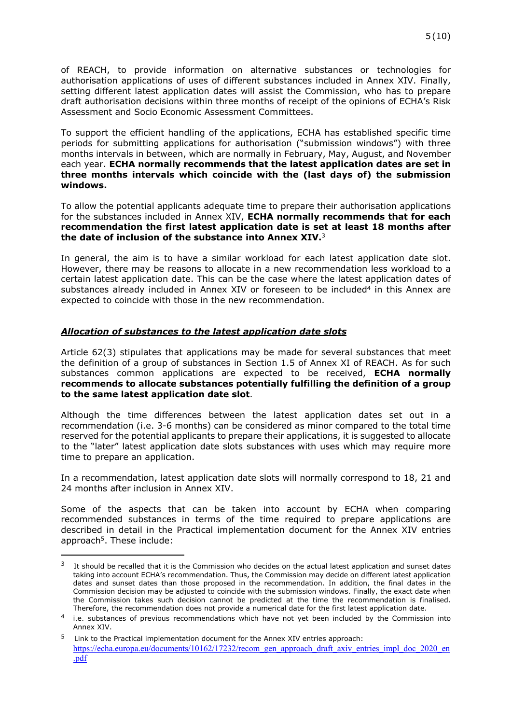of REACH, to provide information on alternative substances or technologies for authorisation applications of uses of different substances included in Annex XIV. Finally, setting different latest application dates will assist the Commission, who has to prepare draft authorisation decisions within three months of receipt of the opinions of ECHA's Risk Assessment and Socio Economic Assessment Committees.

To support the efficient handling of the applications, ECHA has established specific time periods for submitting applications for authorisation ("submission windows") with three months intervals in between, which are normally in February, May, August, and November each year. **ECHA normally recommends that the latest application dates are set in three months intervals which coincide with the (last days of) the submission windows.**

To allow the potential applicants adequate time to prepare their authorisation applications for the substances included in Annex XIV, **ECHA normally recommends that for each recommendation the first latest application date is set at least 18 months after the date of inclusion of the substance into Annex XIV.**<sup>3</sup>

In general, the aim is to have a similar workload for each latest application date slot. However, there may be reasons to allocate in a new recommendation less workload to a certain latest application date. This can be the case where the latest application dates of substances already included in Annex XIV or foreseen to be included $4$  in this Annex are expected to coincide with those in the new recommendation.

#### *Allocation of substances to the latest application date slots*

Article 62(3) stipulates that applications may be made for several substances that meet the definition of a group of substances in Section 1.5 of Annex XI of REACH. As for such substances common applications are expected to be received, **ECHA normally recommends to allocate substances potentially fulfilling the definition of a group to the same latest application date slot**.

Although the time differences between the latest application dates set out in a recommendation (i.e. 3-6 months) can be considered as minor compared to the total time reserved for the potential applicants to prepare their applications, it is suggested to allocate to the "later" latest application date slots substances with uses which may require more time to prepare an application.

In a recommendation, latest application date slots will normally correspond to 18, 21 and 24 months after inclusion in Annex XIV.

Some of the aspects that can be taken into account by ECHA when comparing recommended substances in terms of the time required to prepare applications are described in detail in the Practical implementation document for the Annex XIV entries approach<sup>5</sup>. These include:

<sup>&</sup>lt;sup>3</sup> It should be recalled that it is the Commission who decides on the actual latest application and sunset dates taking into account ECHA's recommendation. Thus, the Commission may decide on different latest application dates and sunset dates than those proposed in the recommendation. In addition, the final dates in the Commission decision may be adjusted to coincide with the submission windows. Finally, the exact date when the Commission takes such decision cannot be predicted at the time the recommendation is finalised. Therefore, the recommendation does not provide a numerical date for the first latest application date.

<sup>4</sup> i.e. substances of previous recommendations which have not yet been included by the Commission into Annex XIV.

<sup>5</sup>Link to the Practical implementation document for the Annex XIV entries approach: [https://echa.europa.eu/documents/10162/17232/recom\\_gen\\_approach\\_draft\\_axiv\\_entries\\_impl\\_doc\\_2020\\_en](https://echa.europa.eu/documents/10162/17232/recom_gen_approach_draft_axiv_entries_impl_doc_2020_en.pdf) [.pdf](https://echa.europa.eu/documents/10162/17232/recom_gen_approach_draft_axiv_entries_impl_doc_2020_en.pdf)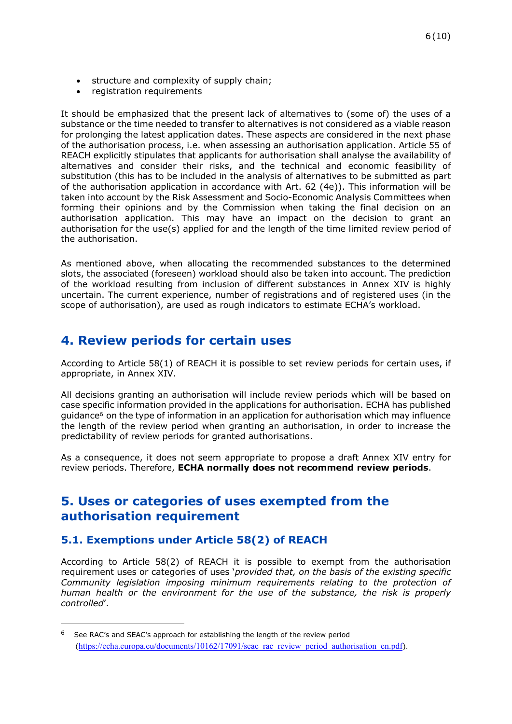- structure and complexity of supply chain;
- registration requirements

It should be emphasized that the present lack of alternatives to (some of) the uses of a substance or the time needed to transfer to alternatives is not considered as a viable reason for prolonging the latest application dates. These aspects are considered in the next phase of the authorisation process, i.e. when assessing an authorisation application. Article 55 of REACH explicitly stipulates that applicants for authorisation shall analyse the availability of alternatives and consider their risks, and the technical and economic feasibility of substitution (this has to be included in the analysis of alternatives to be submitted as part of the authorisation application in accordance with Art. 62 (4e)). This information will be taken into account by the Risk Assessment and Socio-Economic Analysis Committees when forming their opinions and by the Commission when taking the final decision on an authorisation application. This may have an impact on the decision to grant an authorisation for the use(s) applied for and the length of the time limited review period of the authorisation.

As mentioned above, when allocating the recommended substances to the determined slots, the associated (foreseen) workload should also be taken into account. The prediction of the workload resulting from inclusion of different substances in Annex XIV is highly uncertain. The current experience, number of registrations and of registered uses (in the scope of authorisation), are used as rough indicators to estimate ECHA's workload.

# <span id="page-5-0"></span>**4. Review periods for certain uses**

According to Article 58(1) of REACH it is possible to set review periods for certain uses, if appropriate, in Annex XIV.

All decisions granting an authorisation will include review periods which will be based on case specific information provided in the applications for authorisation. ECHA has published guidance<sup>6</sup> on the type of information in an application for authorisation which may influence the length of the review period when granting an authorisation, in order to increase the predictability of review periods for granted authorisations.

As a consequence, it does not seem appropriate to propose a draft Annex XIV entry for review periods. Therefore, **ECHA normally does not recommend review periods**.

### <span id="page-5-1"></span>**5. Uses or categories of uses exempted from the authorisation requirement**

### <span id="page-5-2"></span>**5.1. Exemptions under Article 58(2) of REACH**

According to Article 58(2) of REACH it is possible to exempt from the authorisation requirement uses or categories of uses '*provided that, on the basis of the existing specific Community legislation imposing minimum requirements relating to the protection of human health or the environment for the use of the substance, the risk is properly controlled*'.

<sup>&</sup>lt;sup>6</sup> See RAC's and SEAC's approach for establishing the length of the review period ([https://echa.europa.eu/documents/10162/17091/seac\\_rac\\_review\\_period\\_authorisation\\_en.pdf](https://echa.europa.eu/documents/10162/17091/seac_rac_review_period_authorisation_en.pdf)).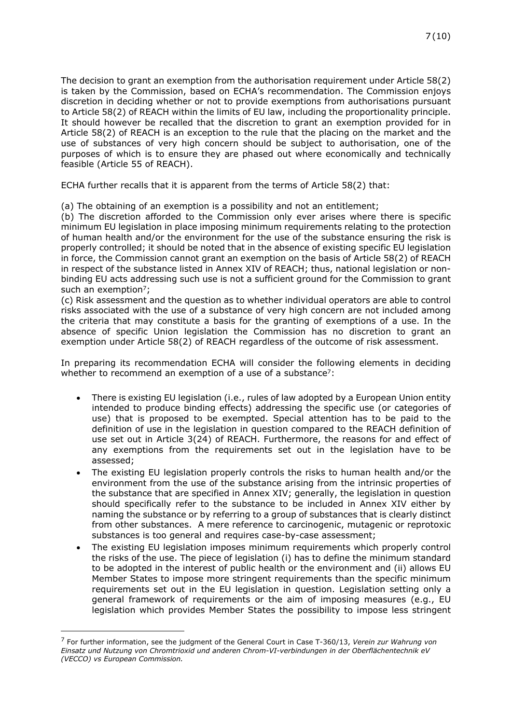The decision to grant an exemption from the authorisation requirement under Article 58(2) is taken by the Commission, based on ECHA's recommendation. The Commission enjoys discretion in deciding whether or not to provide exemptions from authorisations pursuant to Article 58(2) of REACH within the limits of EU law, including the proportionality principle. It should however be recalled that the discretion to grant an exemption provided for in Article 58(2) of REACH is an exception to the rule that the placing on the market and the use of substances of very high concern should be subject to authorisation, one of the purposes of which is to ensure they are phased out where economically and technically feasible (Article 55 of REACH).

ECHA further recalls that it is apparent from the terms of Article 58(2) that:

(a) The obtaining of an exemption is a possibility and not an entitlement;

(b) The discretion afforded to the Commission only ever arises where there is specific minimum EU legislation in place imposing minimum requirements relating to the protection of human health and/or the environment for the use of the substance ensuring the risk is properly controlled; it should be noted that in the absence of existing specific EU legislation in force, the Commission cannot grant an exemption on the basis of Article 58(2) of REACH in respect of the substance listed in Annex XIV of REACH; thus, national legislation or nonbinding EU acts addressing such use is not a sufficient ground for the Commission to grant such an exemption<sup>7</sup>;

<span id="page-6-0"></span>(c) Risk assessment and the question as to whether individual operators are able to control risks associated with the use of a substance of very high concern are not included among the criteria that may constitute a basis for the granting of exemptions of a use. In the absence of specific Union legislation the Commission has no discretion to grant an exemption under Article 58(2) of REACH regardless of the outcome of risk assessment.

In preparing its recommendation ECHA will consider the following elements in deciding whether to recommend an exemption of a use of a substance<sup>[7](#page-6-0)</sup>:

- There is existing EU legislation (i.e., rules of law adopted by a European Union entity intended to produce binding effects) addressing the specific use (or categories of use) that is proposed to be exempted. Special attention has to be paid to the definition of use in the legislation in question compared to the REACH definition of use set out in Article 3(24) of REACH. Furthermore, the reasons for and effect of any exemptions from the requirements set out in the legislation have to be assessed;
- The existing EU legislation properly controls the risks to human health and/or the environment from the use of the substance arising from the intrinsic properties of the substance that are specified in Annex XIV; generally, the legislation in question should specifically refer to the substance to be included in Annex XIV either by naming the substance or by referring to a group of substances that is clearly distinct from other substances. A mere reference to carcinogenic, mutagenic or reprotoxic substances is too general and requires case-by-case assessment;
- The existing EU legislation imposes minimum requirements which properly control the risks of the use. The piece of legislation (i) has to define the minimum standard to be adopted in the interest of public health or the environment and (ii) allows EU Member States to impose more stringent requirements than the specific minimum requirements set out in the EU legislation in question. Legislation setting only a general framework of requirements or the aim of imposing measures (e.g., EU legislation which provides Member States the possibility to impose less stringent

<sup>7</sup> For further information, see the judgment of the General Court in Case T-360/13, *Verein zur Wahrung von Einsatz und Nutzung von Chromtrioxid und anderen Chrom-VI-verbindungen in der Oberflächentechnik eV (VECCO) vs European Commission.*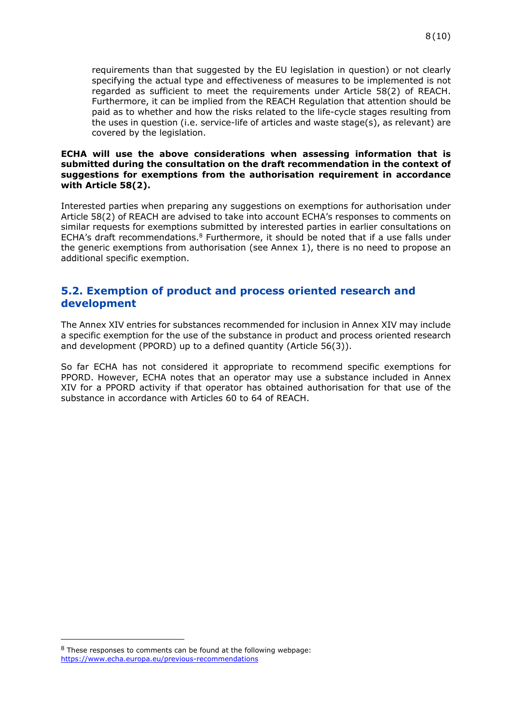requirements than that suggested by the EU legislation in question) or not clearly specifying the actual type and effectiveness of measures to be implemented is not regarded as sufficient to meet the requirements under Article 58(2) of REACH. Furthermore, it can be implied from the REACH Regulation that attention should be paid as to whether and how the risks related to the life-cycle stages resulting from the uses in question (i.e. service-life of articles and waste stage(s), as relevant) are covered by the legislation.

#### **ECHA will use the above considerations when assessing information that is submitted during the consultation on the draft recommendation in the context of suggestions for exemptions from the authorisation requirement in accordance with Article 58(2).**

Interested parties when preparing any suggestions on exemptions for authorisation under Article 58(2) of REACH are advised to take into account ECHA's responses to comments on similar requests for exemptions submitted by interested parties in earlier consultations on ECHA's draft recommendations.<sup>8</sup> Furthermore, it should be noted that if a use falls under the generic exemptions from authorisation (see Annex 1), there is no need to propose an additional specific exemption.

### <span id="page-7-0"></span>**5.2. Exemption of product and process oriented research and development**

The Annex XIV entries for substances recommended for inclusion in Annex XIV may include a specific exemption for the use of the substance in product and process oriented research and development (PPORD) up to a defined quantity (Article 56(3)).

So far ECHA has not considered it appropriate to recommend specific exemptions for PPORD. However, ECHA notes that an operator may use a substance included in Annex XIV for a PPORD activity if that operator has obtained authorisation for that use of the substance in accordance with Articles 60 to 64 of REACH.

<sup>8</sup> These responses to comments can be found at the following webpage: <https://www.echa.europa.eu/previous-recommendations>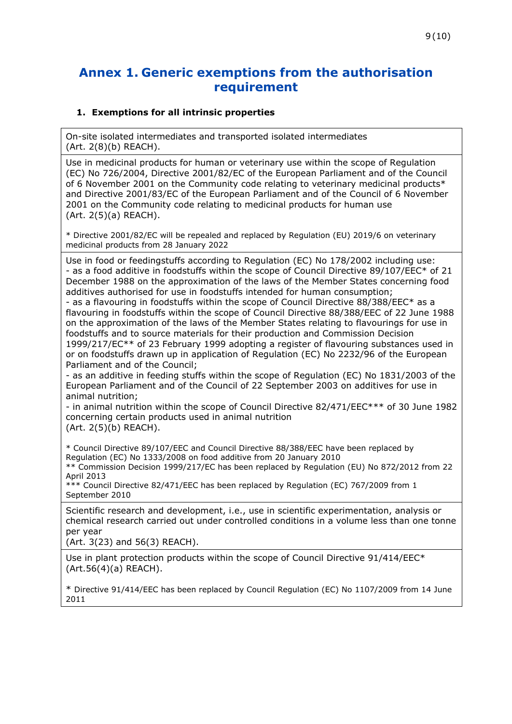### <span id="page-8-0"></span>**Annex 1. Generic exemptions from the authorisation requirement**

#### **1. Exemptions for all intrinsic properties**

On-site isolated intermediates and transported isolated intermediates (Art. 2(8)(b) REACH).

Use in medicinal products for human or veterinary use within the scope of Regulation (EC) No 726/2004, Directive 2001/82/EC of the European Parliament and of the Council of 6 November 2001 on the Community code relating to veterinary medicinal products\* and Directive 2001/83/EC of the European Parliament and of the Council of 6 November 2001 on the Community code relating to medicinal products for human use (Art. 2(5)(a) REACH).

\* Directive 2001/82/EC will be repealed and replaced by Regulation (EU) 2019/6 on veterinary medicinal products from 28 January 2022

Use in food or feedingstuffs according to Regulation (EC) No 178/2002 including use: - as a food additive in foodstuffs within the scope of Council Directive 89/107/EEC\* of 21 December 1988 on the approximation of the laws of the Member States concerning food additives authorised for use in foodstuffs intended for human consumption;

- as a flavouring in foodstuffs within the scope of Council Directive 88/388/EEC\* as a flavouring in foodstuffs within the scope of Council Directive 88/388/EEC of 22 June 1988 on the approximation of the laws of the Member States relating to flavourings for use in foodstuffs and to source materials for their production and Commission Decision 1999/217/EC\*\* of 23 February 1999 adopting a register of flavouring substances used in or on foodstuffs drawn up in application of Regulation (EC) No 2232/96 of the European Parliament and of the Council;

- as an additive in feeding stuffs within the scope of Regulation (EC) No 1831/2003 of the European Parliament and of the Council of 22 September 2003 on additives for use in animal nutrition;

- in animal nutrition within the scope of Council Directive 82/471/EEC\*\*\* of 30 June 1982 concerning certain products used in animal nutrition (Art. 2(5)(b) REACH).

\* Council Directive 89/107/EEC and Council Directive 88/388/EEC have been replaced by Regulation (EC) No 1333/2008 on food additive from 20 January 2010

\*\* Commission Decision 1999/217/EC has been replaced by Regulation (EU) No 872/2012 from 22 April 2013

\*\*\* Council Directive 82/471/EEC has been replaced by Regulation (EC) 767/2009 from 1 September 2010

Scientific research and development, i.e., use in scientific experimentation, analysis or chemical research carried out under controlled conditions in a volume less than one tonne per year

(Art. 3(23) and 56(3) REACH).

Use in plant protection products within the scope of Council Directive 91/414/EEC\* (Art.56(4)(a) REACH).

\* Directive 91/414/EEC has been replaced by Council Regulation (EC) No 1107/2009 from 14 June 2011